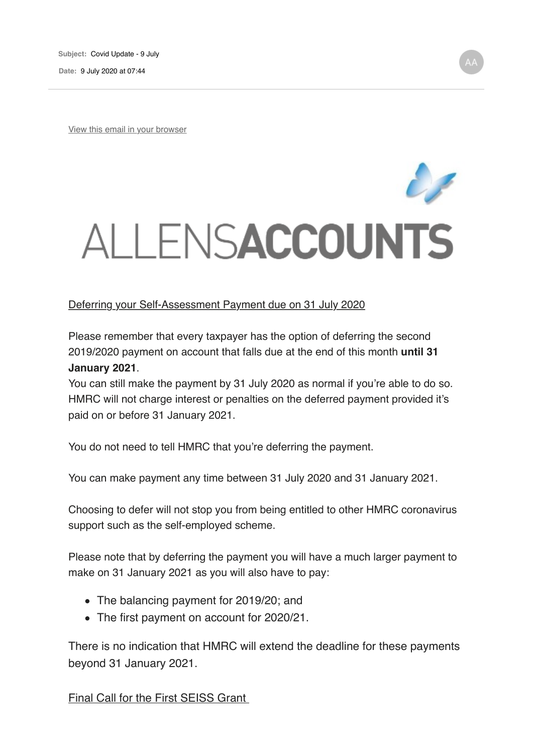**Date:** 9 July 2020 at 07:44

View this email in your browser



## Deferring your Self-Assessment Payment due on 31 July 2020

Please remember that every taxpayer has the option of deferring the second 2019/2020 payment on account that falls due at the end of this month **until 31 January 2021**.

You can still make the payment by 31 July 2020 as normal if you're able to do so. HMRC will not charge interest or penalties on the deferred payment provided it's paid on or before 31 January 2021.

You do not need to tell HMRC that you're deferring the payment.

You can make payment any time between 31 July 2020 and 31 January 2021.

Choosing to defer will not stop you from being entitled to other HMRC coronavirus support such as the self-employed scheme.

Please note that by deferring the payment you will have a much larger payment to make on 31 January 2021 as you will also have to pay:

- The balancing payment for 2019/20; and
- The first payment on account for 2020/21.

There is no indication that HMRC will extend the deadline for these payments beyond 31 January 2021.

Final Call for the First SEISS Grant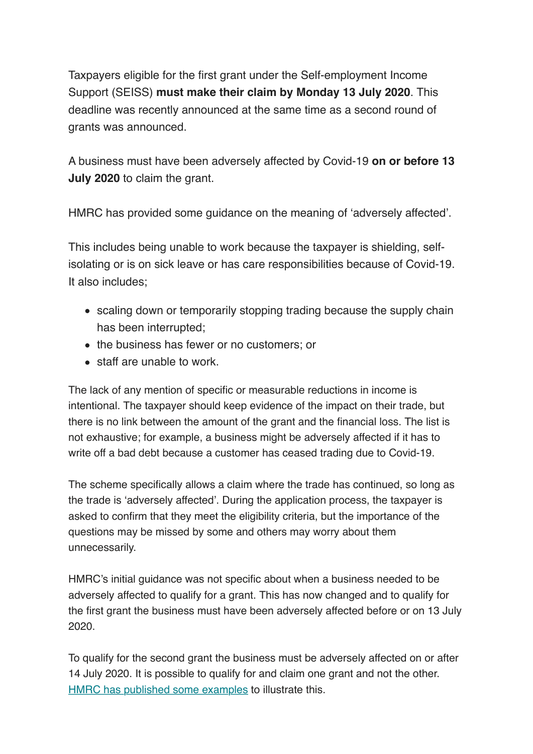Taxpayers eligible for the first grant under the Self-employment Income Support (SEISS) **must make their claim by Monday 13 July 2020**. This deadline was recently announced at the same time as a second round of grants was announced.

A business must have been adversely affected by Covid-19 **on or before 13 July 2020** to claim the grant.

HMRC has provided some guidance on the meaning of 'adversely affected'.

This includes being unable to work because the taxpayer is shielding, selfisolating or is on sick leave or has care responsibilities because of Covid-19. It also includes;

- scaling down or temporarily stopping trading because the supply chain has been interrupted;
- the business has fewer or no customers; or
- staff are unable to work.

The lack of any mention of specific or measurable reductions in income is intentional. The taxpayer should keep evidence of the impact on their trade, but there is no link between the amount of the grant and the financial loss. The list is not exhaustive; for example, a business might be adversely affected if it has to write off a bad debt because a customer has ceased trading due to Covid-19.

The scheme specifically allows a claim where the trade has continued, so long as the trade is 'adversely affected'. During the application process, the taxpayer is asked to confirm that they meet the eligibility criteria, but the importance of the questions may be missed by some and others may worry about them unnecessarily.

HMRC's initial guidance was not specific about when a business needed to be adversely affected to qualify for a grant. This has now changed and to qualify for the first grant the business must have been adversely affected before or on 13 July 2020.

To qualify for the second grant the business must be adversely affected on or after 14 July 2020. It is possible to qualify for and claim one grant and not the other. HMRC has published some examples to illustrate this.